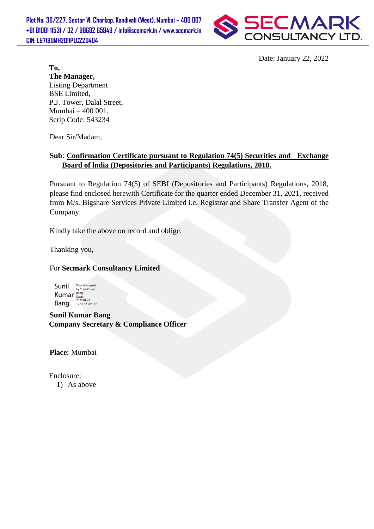**Plot No. 36/227, Sector VI, Charkop, Kandivali (West), Mumbai – 400 067 +91 81081 11531 / 32 / 98692 65949 / info@secmark.in / www.secmark.in CIN: L67190MH2011PLC220404**



Date: January 22, 2022

**To, The Manager,** Listing Department BSE Limited, P.J. Tower, Dalal Street, Mumbai – 400 001. Scrip Code: 543234

Dear Sir/Madam,

## **Sub**: **Confirmation Certificate pursuant to Regulation 74(5) Securities and Exchange Board of lndia (Depositories and Participants) Regulations, 2018.**

Pursuant to Regulation 74(5) of SEBI (Depositories and Participants) Regulations, 2018, please find enclosed herewith Certificate for the quarter ended December 31, 2021, received from M/s. Bigshare Services Private Limited i.e. Registrar and Share Transfer Agent of the Company.

Kindly take the above on record and oblige.

Thanking you,

For **Secmark Consultancy Limited**

Sunil Kumar Bang Bang 2022.01.22 Digitally signed by Sunil Kumar

**Sunil Kumar Bang Company Secretary & Compliance Officer**

**Place:** Mumbai

 Enclosure: 1) As above